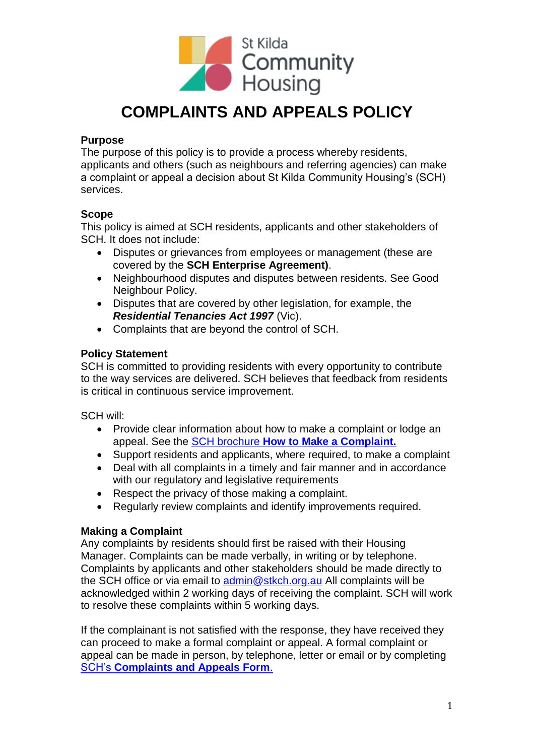

# **COMPLAINTS AND APPEALS POLICY**

# **Purpose**

The purpose of this policy is to provide a process whereby residents, applicants and others (such as neighbours and referring agencies) can make a complaint or appeal a decision about St Kilda Community Housing's (SCH) services.

# **Scope**

This policy is aimed at SCH residents, applicants and other stakeholders of SCH. It does not include:

- Disputes or grievances from employees or management (these are covered by the **SCH Enterprise Agreement)**.
- Neighbourhood disputes and disputes between residents. See Good Neighbour Policy.
- Disputes that are covered by other legislation, for example, the *Residential Tenancies Act 1997* (Vic).
- Complaints that are beyond the control of SCH.

# **Policy Statement**

SCH is committed to providing residents with every opportunity to contribute to the way services are delivered. SCH believes that feedback from residents is critical in continuous service improvement.

SCH will:

- Provide clear information about how to make a complaint or lodge an appeal. See the SCH brochure **[How to Make a Complaint.](https://stkch.org.au/wp-content/uploads/2022/02/Complaints-Brochure-1.pdf)**
- Support residents and applicants, where required, to make a complaint
- Deal with all complaints in a timely and fair manner and in accordance with our regulatory and legislative requirements
- Respect the privacy of those making a complaint.
- Regularly review complaints and identify improvements required.

### **Making a Complaint**

Any complaints by residents should first be raised with their Housing Manager. Complaints can be made verbally, in writing or by telephone. Complaints by applicants and other stakeholders should be made directly to the SCH office or via email to [admin@stkch.org.au](mailto:admin@stkch.org.au) All complaints will be acknowledged within 2 working days of receiving the complaint. SCH will work to resolve these complaints within 5 working days.

If the complainant is not satisfied with the response, they have received they can proceed to make a formal complaint or appeal. A formal complaint or appeal can be made in person, by telephone, letter or email or by completing SCH's **[Complaints and Appeals Form](https://stkch.org.au/wp-content/uploads/2022/02/Complaints-Form.pdf)**.